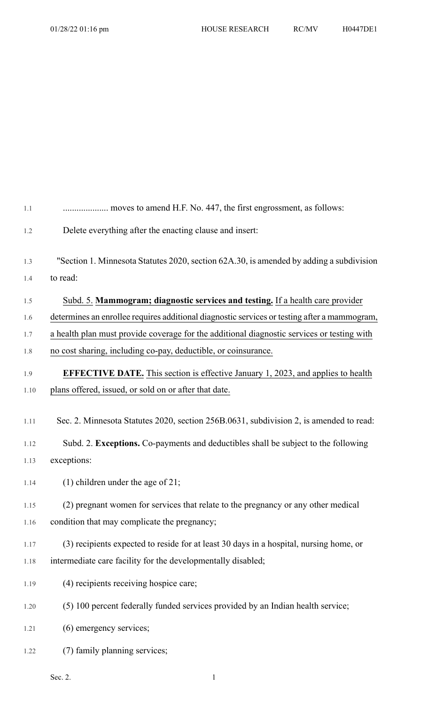| 1.1  |                                                                                              |
|------|----------------------------------------------------------------------------------------------|
| 1.2  | Delete everything after the enacting clause and insert:                                      |
| 1.3  | "Section 1. Minnesota Statutes 2020, section 62A.30, is amended by adding a subdivision      |
| 1.4  | to read:                                                                                     |
| 1.5  | Subd. 5. Mammogram; diagnostic services and testing. If a health care provider               |
| 1.6  | determines an enrollee requires additional diagnostic services or testing after a mammogram, |
| 1.7  | a health plan must provide coverage for the additional diagnostic services or testing with   |
| 1.8  | no cost sharing, including co-pay, deductible, or coinsurance.                               |
| 1.9  | <b>EFFECTIVE DATE.</b> This section is effective January 1, 2023, and applies to health      |
| 1.10 | plans offered, issued, or sold on or after that date.                                        |
|      |                                                                                              |
| 1.11 | Sec. 2. Minnesota Statutes 2020, section 256B.0631, subdivision 2, is amended to read:       |
| 1.12 | Subd. 2. Exceptions. Co-payments and deductibles shall be subject to the following           |
| 1.13 | exceptions:                                                                                  |
| 1.14 | $(1)$ children under the age of 21;                                                          |
| 1.15 | (2) pregnant women for services that relate to the pregnancy or any other medical            |
| 1.16 | condition that may complicate the pregnancy;                                                 |
| 1.17 | (3) recipients expected to reside for at least 30 days in a hospital, nursing home, or       |
| 1.18 | intermediate care facility for the developmentally disabled;                                 |
| 1.19 | (4) recipients receiving hospice care;                                                       |
| 1.20 | (5) 100 percent federally funded services provided by an Indian health service;              |
| 1.21 | (6) emergency services;                                                                      |
| 1.22 | (7) family planning services;                                                                |

Sec. 2. 1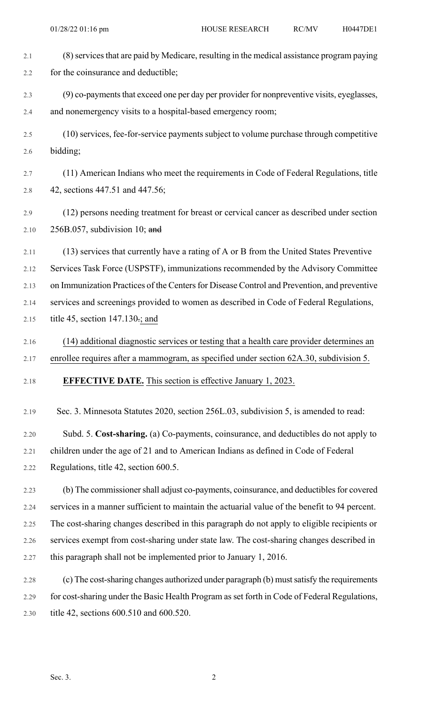| 2.1  | (8) services that are paid by Medicare, resulting in the medical assistance program paying    |
|------|-----------------------------------------------------------------------------------------------|
| 2.2  | for the coinsurance and deductible;                                                           |
| 2.3  | (9) co-payments that exceed one per day per provider for nonpreventive visits, eyeglasses,    |
| 2.4  | and nonemergency visits to a hospital-based emergency room;                                   |
| 2.5  | (10) services, fee-for-service payments subject to volume purchase through competitive        |
| 2.6  | bidding;                                                                                      |
| 2.7  | (11) American Indians who meet the requirements in Code of Federal Regulations, title         |
| 2.8  | 42, sections 447.51 and 447.56;                                                               |
| 2.9  | (12) persons needing treatment for breast or cervical cancer as described under section       |
| 2.10 | 256B.057, subdivision 10; $\text{and}$                                                        |
| 2.11 | (13) services that currently have a rating of A or B from the United States Preventive        |
| 2.12 | Services Task Force (USPSTF), immunizations recommended by the Advisory Committee             |
| 2.13 | on Immunization Practices of the Centers for Disease Control and Prevention, and preventive   |
| 2.14 | services and screenings provided to women as described in Code of Federal Regulations,        |
| 2.15 | title 45, section $147.130$ ; and                                                             |
| 2.16 | (14) additional diagnostic services or testing that a health care provider determines an      |
| 2.17 | enrollee requires after a mammogram, as specified under section 62A.30, subdivision 5.        |
| 2.18 | <b>EFFECTIVE DATE.</b> This section is effective January 1, 2023.                             |
| 2.19 | Sec. 3. Minnesota Statutes 2020, section 256L.03, subdivision 5, is amended to read:          |
| 2.20 | Subd. 5. Cost-sharing. (a) Co-payments, coinsurance, and deductibles do not apply to          |
| 2.21 | children under the age of 21 and to American Indians as defined in Code of Federal            |
| 2.22 | Regulations, title 42, section 600.5.                                                         |
| 2.23 | (b) The commissioner shall adjust co-payments, coinsurance, and deductibles for covered       |
| 2.24 | services in a manner sufficient to maintain the actuarial value of the benefit to 94 percent. |
| 2.25 | The cost-sharing changes described in this paragraph do not apply to eligible recipients or   |
| 2.26 | services exempt from cost-sharing under state law. The cost-sharing changes described in      |
| 2.27 | this paragraph shall not be implemented prior to January 1, 2016.                             |
| 2.28 | (c) The cost-sharing changes authorized under paragraph (b) must satisfy the requirements     |
| 2.29 | for cost-sharing under the Basic Health Program as set forth in Code of Federal Regulations,  |
| 2.30 | title 42, sections 600.510 and 600.520.                                                       |